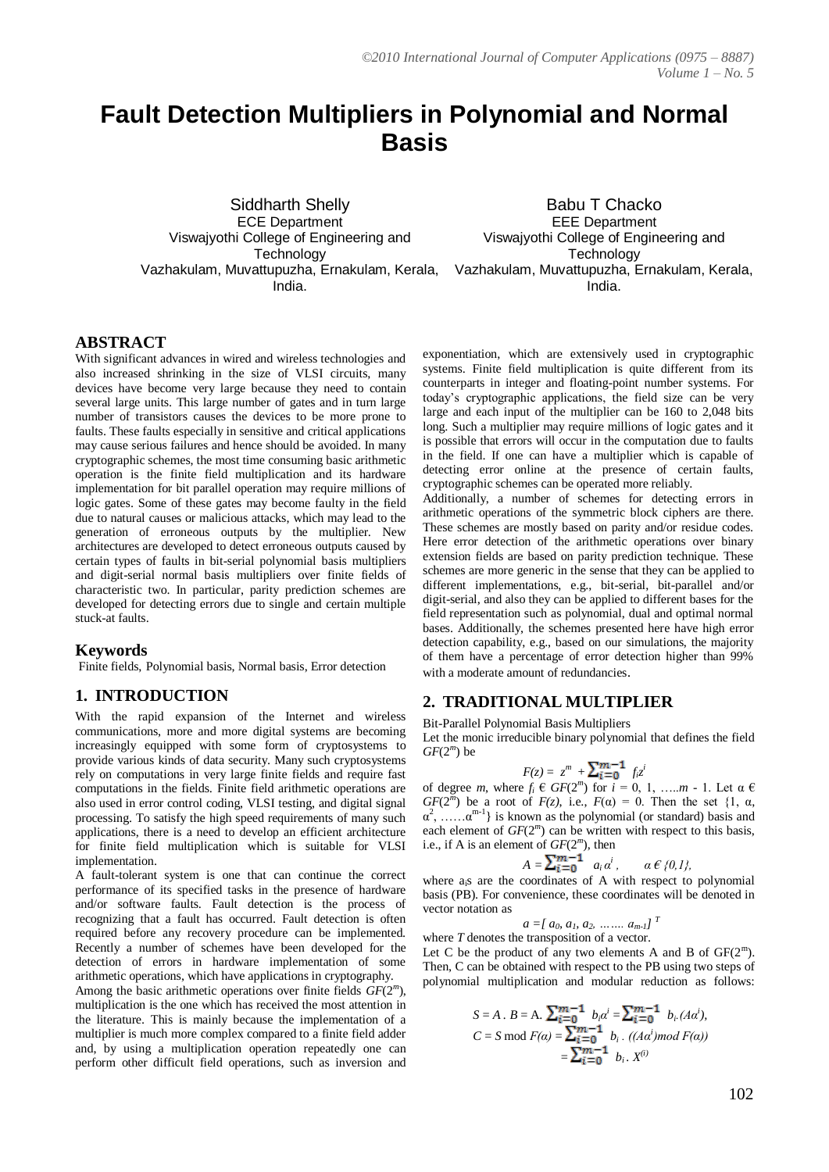# **Fault Detection Multipliers in Polynomial and Normal Basis**

Siddharth Shelly ECE Department Viswajyothi College of Engineering and **Technology** India.

Vazhakulam, Muvattupuzha, Ernakulam, Kerala, Vazhakulam, Muvattupuzha, Ernakulam, Kerala, Babu T Chacko EEE Department Viswajyothi College of Engineering and **Technology** India.

## **ABSTRACT**

With significant advances in wired and wireless technologies and also increased shrinking in the size of VLSI circuits, many devices have become very large because they need to contain several large units. This large number of gates and in turn large number of transistors causes the devices to be more prone to faults. These faults especially in sensitive and critical applications may cause serious failures and hence should be avoided. In many cryptographic schemes, the most time consuming basic arithmetic operation is the finite field multiplication and its hardware implementation for bit parallel operation may require millions of logic gates. Some of these gates may become faulty in the field due to natural causes or malicious attacks, which may lead to the generation of erroneous outputs by the multiplier. New architectures are developed to detect erroneous outputs caused by certain types of faults in bit-serial polynomial basis multipliers and digit-serial normal basis multipliers over finite fields of characteristic two. In particular, parity prediction schemes are developed for detecting errors due to single and certain multiple stuck-at faults.

### **Keywords**

Finite fields, Polynomial basis, Normal basis, Error detection

## **1. INTRODUCTION**

With the rapid expansion of the Internet and wireless communications, more and more digital systems are becoming increasingly equipped with some form of cryptosystems to provide various kinds of data security. Many such cryptosystems rely on computations in very large finite fields and require fast computations in the fields. Finite field arithmetic operations are also used in error control coding, VLSI testing, and digital signal processing. To satisfy the high speed requirements of many such applications, there is a need to develop an efficient architecture for finite field multiplication which is suitable for VLSI implementation.

A fault-tolerant system is one that can continue the correct performance of its specified tasks in the presence of hardware and/or software faults. Fault detection is the process of recognizing that a fault has occurred. Fault detection is often required before any recovery procedure can be implemented. Recently a number of schemes have been developed for the detection of errors in hardware implementation of some arithmetic operations, which have applications in cryptography. Among the basic arithmetic operations over finite fields *GF*(2*<sup>m</sup>* ), multiplication is the one which has received the most attention in the literature. This is mainly because the implementation of a multiplier is much more complex compared to a finite field adder and, by using a multiplication operation repeatedly one can perform other difficult field operations, such as inversion and

exponentiation, which are extensively used in cryptographic systems. Finite field multiplication is quite different from its counterparts in integer and floating-point number systems. For today's cryptographic applications, the field size can be very large and each input of the multiplier can be 160 to 2,048 bits long. Such a multiplier may require millions of logic gates and it is possible that errors will occur in the computation due to faults in the field. If one can have a multiplier which is capable of detecting error online at the presence of certain faults, cryptographic schemes can be operated more reliably.

Additionally, a number of schemes for detecting errors in arithmetic operations of the symmetric block ciphers are there. These schemes are mostly based on parity and/or residue codes. Here error detection of the arithmetic operations over binary extension fields are based on parity prediction technique. These schemes are more generic in the sense that they can be applied to different implementations, e.g., bit-serial, bit-parallel and/or digit-serial, and also they can be applied to different bases for the field representation such as polynomial, dual and optimal normal bases. Additionally, the schemes presented here have high error detection capability, e.g., based on our simulations, the majority of them have a percentage of error detection higher than 99% with a moderate amount of redundancies.

## **2. TRADITIONAL MULTIPLIER**

Bit-Parallel Polynomial Basis Multipliers

Let the monic irreducible binary polynomial that defines the field  $GF(2<sup>m</sup>)$  be

$$
F(z) = zm + \sum_{i=0}^{m-1} f_i zi
$$

of degree *m*, where  $f_i \in GF(2^m)$  for  $i = 0, 1, \ldots, m - 1$ . Let  $\alpha \in$ *GF*( $2^{m}$ ) be a root of *F*(*z*), i.e., *F*( $\alpha$ ) = 0. Then the set {1,  $\alpha$ ,  $\alpha^2$ , ...... $\alpha^{m-1}$ } is known as the polynomial (or standard) basis and each element of  $GF(2<sup>m</sup>)$  can be written with respect to this basis, i.e., if A is an element of *GF*(2*<sup>m</sup>* ), then

$$
A=\sum_{i=0}^{m-1} a_i\alpha^i, \qquad \alpha \in \{0,1\},\
$$

where a<sub>i</sub>s are the coordinates of A with respect to polynomial basis (PB). For convenience, these coordinates will be denoted in vector notation as

$$
a = [ a_0, a_1, a_2, \ldots, a_{m-l} ]^T
$$

where *T* denotes the transposition of a vector. Let C be the product of any two elements A and B of  $GF(2^m)$ . Then, C can be obtained with respect to the PB using two steps of polynomial multiplication and modular reduction as follows:

$$
S = A \cdot B = A \cdot \sum_{i=0}^{m-1} b_i a^i = \sum_{i=0}^{m-1} b_i (Aa^i),
$$
  
\n
$$
C = S \mod F(a) = \sum_{i=0}^{m-1} b_i \cdot ((Aa^i) \mod F(a))
$$
  
\n
$$
= \sum_{i=0}^{m-1} b_i \cdot X^{(i)}
$$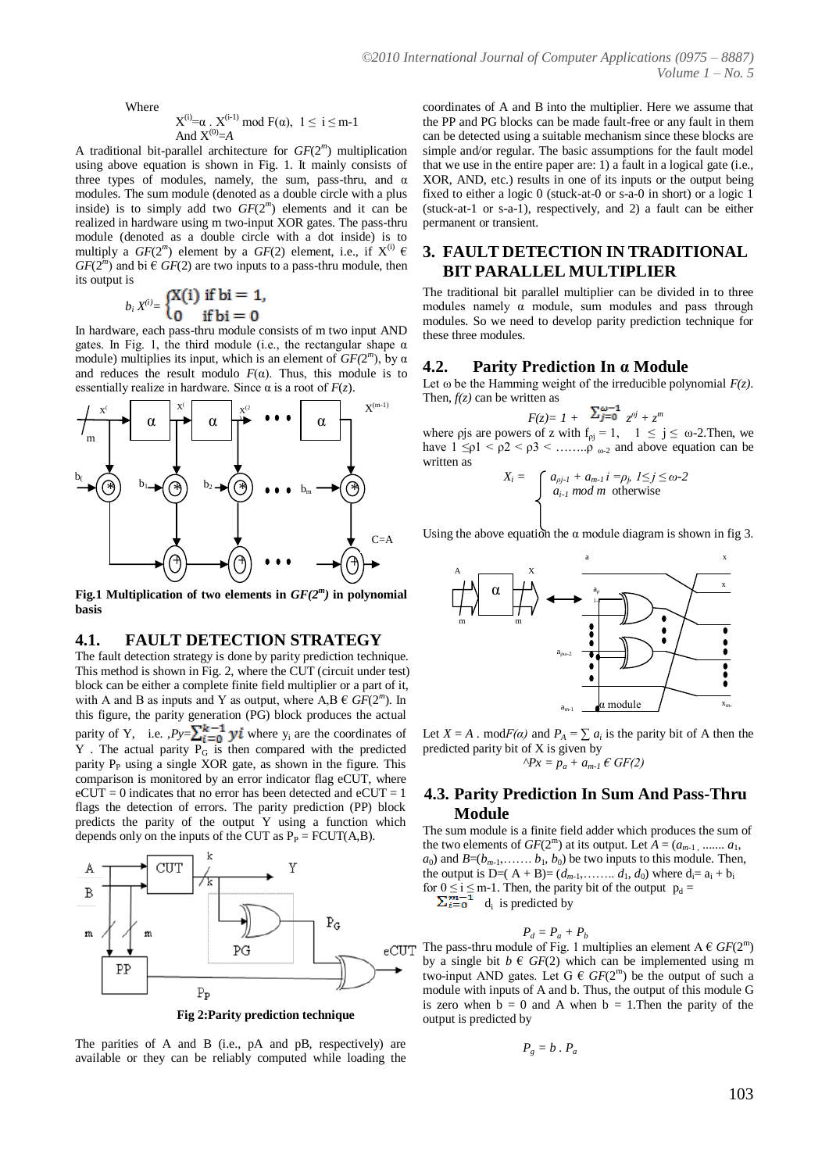Where

$$
X^{(i)}\!\!=\!\!\alpha\;.\;X^{(i\text{-}1)}\;\text{mod}\;F(\alpha),\;\;1\leq i\leq m\text{-}1
$$
And  $X^{(0)}\!\!=\!\!A$ 

A traditional bit-parallel architecture for *GF*(2*<sup>m</sup>* ) multiplication using above equation is shown in Fig. 1. It mainly consists of three types of modules, namely, the sum, pass-thru, and  $\alpha$ modules. The sum module (denoted as a double circle with a plus inside) is to simply add two  $GF(2<sup>m</sup>)$  elements and it can be realized in hardware using m two-input XOR gates. The pass-thru module (denoted as a double circle with a dot inside) is to multiply a  $GF(2^m)$  element by a  $GF(2)$  element, i.e., if  $X^{(i)} \in$  $GF(2<sup>m</sup>)$  and bi  $\in GF(2)$  are two inputs to a pass-thru module, then its output is

$$
b_i X^{(i)} = \begin{cases} X(i) & \text{if bi} = 1, \\ 0 & \text{if bi} = 0 \end{cases}
$$

In hardware, each pass-thru module consists of m two input AND gates. In Fig. 1, the third module (i.e., the rectangular shape  $\alpha$ module) multiplies its input, which is an element of  $GF(2<sup>m</sup>)$ , by  $\alpha$ and reduces the result modulo  $F(\alpha)$ . Thus, this module is to essentially realize in hardware. Since  $\alpha$  is a root of  $F(z)$ .



Fig.1 Multiplication of two elements in  $GF(2<sup>m</sup>)$  in polynomial **basis**

### **4.1. FAULT DETECTION STRATEGY**

The fault detection strategy is done by parity prediction technique. This method is shown in Fig. 2, where the CUT (circuit under test) block can be either a complete finite field multiplier or a part of it, with A and B as inputs and Y as output, where  $A, B \in \widehat{GF}(2^m)$ . In this figure, the parity generation (PG) block produces the actual parity of Y, i.e.  $P_y = \sum_{i=0}^{k-1} yi$  where  $y_i$  are the coordinates of  $Y$ . The actual parity  $P_G$  is then compared with the predicted parity  $P_P$  using a single XOR gate, as shown in the figure. This comparison is monitored by an error indicator flag eCUT, where  $eCUT = 0$  indicates that no error has been detected and  $eCUT = 1$ flags the detection of errors. The parity prediction (PP) block predicts the parity of the output Y using a function which depends only on the inputs of the CUT as  $P_P = FCUT(A,B)$ .



**Fig 2:Parity prediction technique**

The parities of A and B (i.e., pA and pB, respectively) are available or they can be reliably computed while loading the coordinates of A and B into the multiplier. Here we assume that the PP and PG blocks can be made fault-free or any fault in them can be detected using a suitable mechanism since these blocks are simple and/or regular. The basic assumptions for the fault model that we use in the entire paper are: 1) a fault in a logical gate (i.e., XOR, AND, etc.) results in one of its inputs or the output being fixed to either a logic 0 (stuck-at-0 or s-a-0 in short) or a logic 1 (stuck-at-1 or s-a-1), respectively, and 2) a fault can be either permanent or transient.

## **3. FAULT DETECTION IN TRADITIONAL BIT PARALLEL MULTIPLIER**

The traditional bit parallel multiplier can be divided in to three modules namely  $\alpha$  module, sum modules and pass through modules. So we need to develop parity prediction technique for these three modules.

#### **4.2. Parity Prediction In α Module**

Let  $\omega$  be the Hamming weight of the irreducible polynomial  $F(z)$ . Then,  $f(z)$  can be written as

 $F(z) = 1 + \frac{\sum_{j=0}^{n} z^{pj}}{z^{pj} + z^{m}}$ where pjs are powers of z with  $f_{\rho i} = 1$ ,  $1 \le j \le \omega$ -2. Then, we have  $1 \leq \rho 1 < \rho 2 < \rho 3 < \ldots \leq \rho$  and above equation can be written as

$$
X_i = \int_{a_{i-1} \mod m} a_{\rho j} \cdot 1 + a_{m-1} \cdot i = \rho_j \cdot 1 \leq j \leq \omega - 2
$$
  
 
$$
a_{i-1} \mod m \text{ otherwise}
$$

Using the above equation the  $\alpha$  module diagram is shown in fig 3.



Let *X* = *A*. mod $F(\alpha)$  and  $P_A = \sum a_i$  is the parity bit of A then the predicted parity bit of X is given by  $^{\wedge}Px = p_a + a_{m-l} \in GF(2)$ 

### **4.3. Parity Prediction In Sum And Pass-Thru Module**

The sum module is a finite field adder which produces the sum of the two elements of  $GF(2^m)$  at its output. Let  $A = (a_{m-1}, \dots, a_1,$  $a_0$ ) and  $B=(b_{m-1},\ldots,b_1,b_0)$  be two inputs to this module. Then, the output is D=( $A + B$ )= ( $d_{m-1}$ , ... *d*<sub>1</sub>,  $d_0$ ) where  $d_i = a_i + b_i$ for  $0 \le i \le m-1$ . Then, the parity bit of the output  $p_d =$ 

 $d_i$  is predicted by

$$
P_d = P_a + P_b
$$

The pass-thru module of Fig. 1 multiplies an element  $A \in GF(2^m)$ by a single bit  $b \in GF(2)$  which can be implemented using m two-input AND gates. Let  $G \in GF(2^m)$  be the output of such a module with inputs of A and b. Thus, the output of this module G is zero when  $b = 0$  and A when  $b = 1$ . Then the parity of the output is predicted by

$$
P_g = b \cdot P_a
$$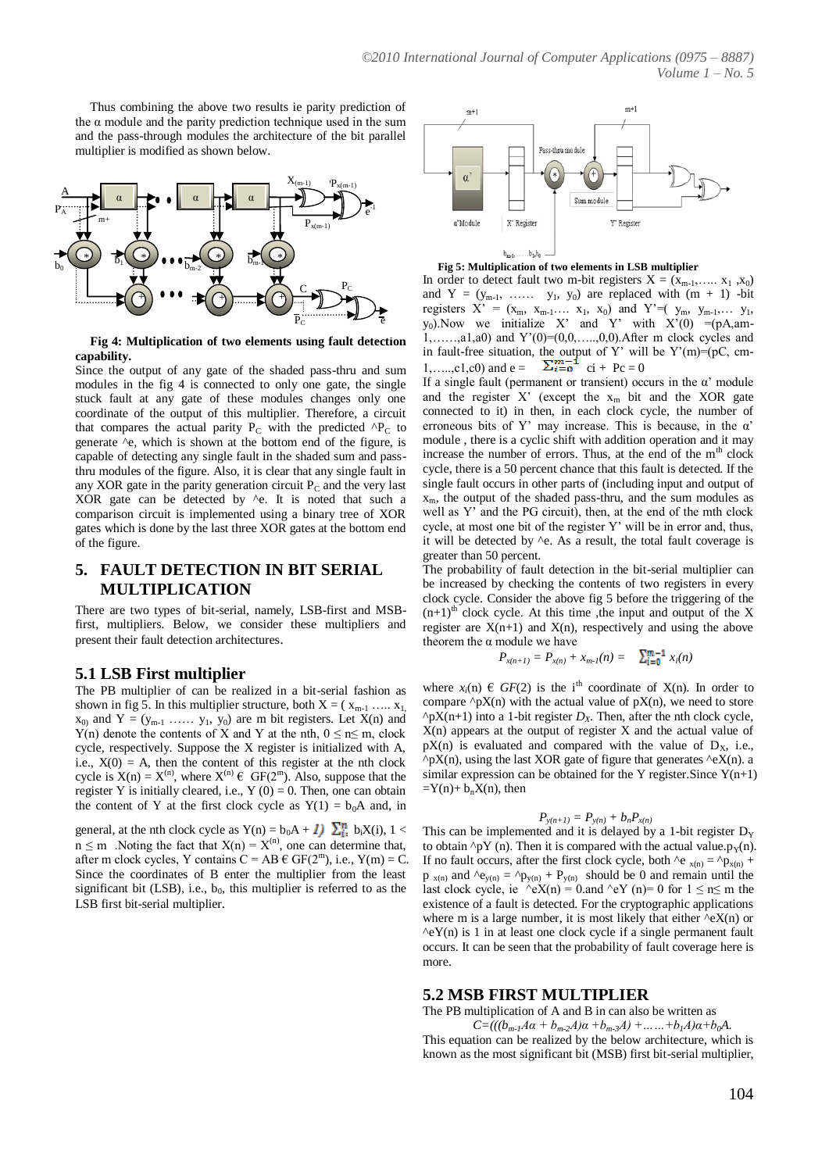Thus combining the above two results ie parity prediction of the  $\alpha$  module and the parity prediction technique used in the sum and the pass-through modules the architecture of the bit parallel multiplier is modified as shown below.



**Fig 4: Multiplication of two elements using fault detection capability.**

Since the output of any gate of the shaded pass-thru and sum modules in the fig 4 is connected to only one gate, the single stuck fault at any gate of these modules changes only one coordinate of the output of this multiplier. Therefore, a circuit that compares the actual parity  $P_C$  with the predicted  $^{\wedge}P_C$  to generate ^e, which is shown at the bottom end of the figure, is capable of detecting any single fault in the shaded sum and passthru modules of the figure. Also, it is clear that any single fault in any XOR gate in the parity generation circuit  $P_C$  and the very last XOR gate can be detected by  $\wedge$ e. It is noted that such a comparison circuit is implemented using a binary tree of XOR gates which is done by the last three XOR gates at the bottom end of the figure.

# **5. FAULT DETECTION IN BIT SERIAL MULTIPLICATION**

There are two types of bit-serial, namely, LSB-first and MSBfirst, multipliers. Below, we consider these multipliers and present their fault detection architectures.

### **5.1 LSB First multiplier**

The PB multiplier of can be realized in a bit-serial fashion as shown in fig 5. In this multiplier structure, both  $X = (x_{m-1}, ..., x_1)$  $x_{0}$  and  $Y = (y_{m-1} \ldots y_1, y_0)$  are m bit registers. Let  $X(n)$  and Y(n) denote the contents of X and Y at the nth,  $0 \le n \le m$ , clock cycle, respectively. Suppose the X register is initialized with A, i.e.,  $X(0) = A$ , then the content of this register at the nth clock cycle is  $X(n) = X^{(n)}$ , where  $X^{(n)} \in GF(2^m)$ . Also, suppose that the register Y is initially cleared, i.e.,  $Y(0) = 0$ . Then, one can obtain the content of Y at the first clock cycle as  $Y(1) = b_0A$  and, in

general, at the nth clock cycle as Y(n) =  $b_0A + I$ )  $\sum_{i=1}^{n} b_iX(i)$ , 1 <  $n \le m$  . Noting the fact that  $X(n) = X^{(n)}$ , one can determine that, after m clock cycles, Y contains  $C = AB \in GF(2^m)$ , i.e.,  $Y(m) = C$ . Since the coordinates of B enter the multiplier from the least significant bit (LSB), i.e.,  $b_0$ , this multiplier is referred to as the LSB first bit-serial multiplier*.*





In order to detect fault two m-bit registers  $X = (x_{m-1},..., x_1, x_0)$ and  $Y = (y_{m-1}, \ldots, y_1, y_0)$  are replaced with  $(m + 1)$  -bit registers  $X' = (x_m, x_{m-1}... x_1, x_0)$  and  $Y'=(y_m, y_{m-1},... y_1,$  $y_0$ ). Now we initialize X' and Y' with  $X'(0) = (pA)$ , am-1,……,a1,a0) and Y'(0)=(0,0,…..,0,0).After m clock cycles and in fault-free situation, the output of Y' will be  $Y'(m) = (pC, cm - c)$ 1,....,c1,c0) and  $e = \sum_{i=0}^{n}$  ci + Pc = 0

If a single fault (permanent or transient) occurs in the  $\alpha'$  module and the register  $X'$  (except the  $x_m$  bit and the XOR gate connected to it) in then, in each clock cycle, the number of erroneous bits of Y' may increase. This is because, in the  $\alpha$ ' module , there is a cyclic shift with addition operation and it may increase the number of errors. Thus, at the end of the  $m<sup>th</sup>$  clock cycle, there is a 50 percent chance that this fault is detected. If the single fault occurs in other parts of (including input and output of  $x_m$ , the output of the shaded pass-thru, and the sum modules as well as Y' and the PG circuit), then, at the end of the mth clock cycle, at most one bit of the register Y' will be in error and, thus, it will be detected by ^e. As a result, the total fault coverage is greater than 50 percent.

The probability of fault detection in the bit-serial multiplier can be increased by checking the contents of two registers in every clock cycle. Consider the above fig 5 before the triggering of the  $(n+1)$ <sup>th</sup> clock cycle. At this time , the input and output of the X register are  $X(n+1)$  and  $X(n)$ , respectively and using the above theorem the  $\alpha$  module we have

$$
P_{x(n+1)} = P_{x(n)} + x_{m-1}(n) = \sum_{i=0}^{m-1} x_i(n)
$$

where  $x_i(n) \in GF(2)$  is the i<sup>th</sup> coordinate of X(n). In order to compare  $\Delta pX(n)$  with the actual value of  $pX(n)$ , we need to store  $\sqrt{pX(n+1)}$  into a 1-bit register *D<sub>X</sub>*. Then, after the nth clock cycle,  $X(n)$  appears at the output of register X and the actual value of  $pX(n)$  is evaluated and compared with the value of  $D_X$ , i.e.,  $\alpha$ pX(n), using the last XOR gate of figure that generates  $\alpha$ eX(n). a similar expression can be obtained for the Y register. Since  $Y(n+1)$  $=Y(n)+\overline{b_n}X(n)$ , then

$$
P_{y(n+1)} = P_{y(n)} + b_n P_{x(n)}
$$

This can be implemented and it is delayed by a 1-bit register  $D_y$ to obtain  $\gamma pY$  (n). Then it is compared with the actual value.p<sub>y</sub>(n). If no fault occurs, after the first clock cycle, both ^e  $_{x(n)} = \gamma p_{x(n)} +$  $p_{x(n)}$  and  $\lambda e_{y(n)} = \lambda p_{y(n)} + P_{y(n)}$  should be 0 and remain until the last clock cycle, ie  $\angle eX(n) = 0$  and  $\angle eY(n) = 0$  for  $1 \le n \le m$  the existence of a fault is detected. For the cryptographic applications where m is a large number, it is most likely that either  $\alpha$ eX(n) or  $\text{eY(n)}$  is 1 in at least one clock cycle if a single permanent fault occurs. It can be seen that the probability of fault coverage here is more.

### **5.2 MSB FIRST MULTIPLIER**

The PB multiplication of A and B in can also be written as

 $C=((b_{m-1}A\alpha + b_{m-2}A)\alpha + b_{m-3}A) + \dots + b_1A)\alpha + b_0A$ . This equation can be realized by the below architecture, which is known as the most significant bit (MSB) first bit-serial multiplier,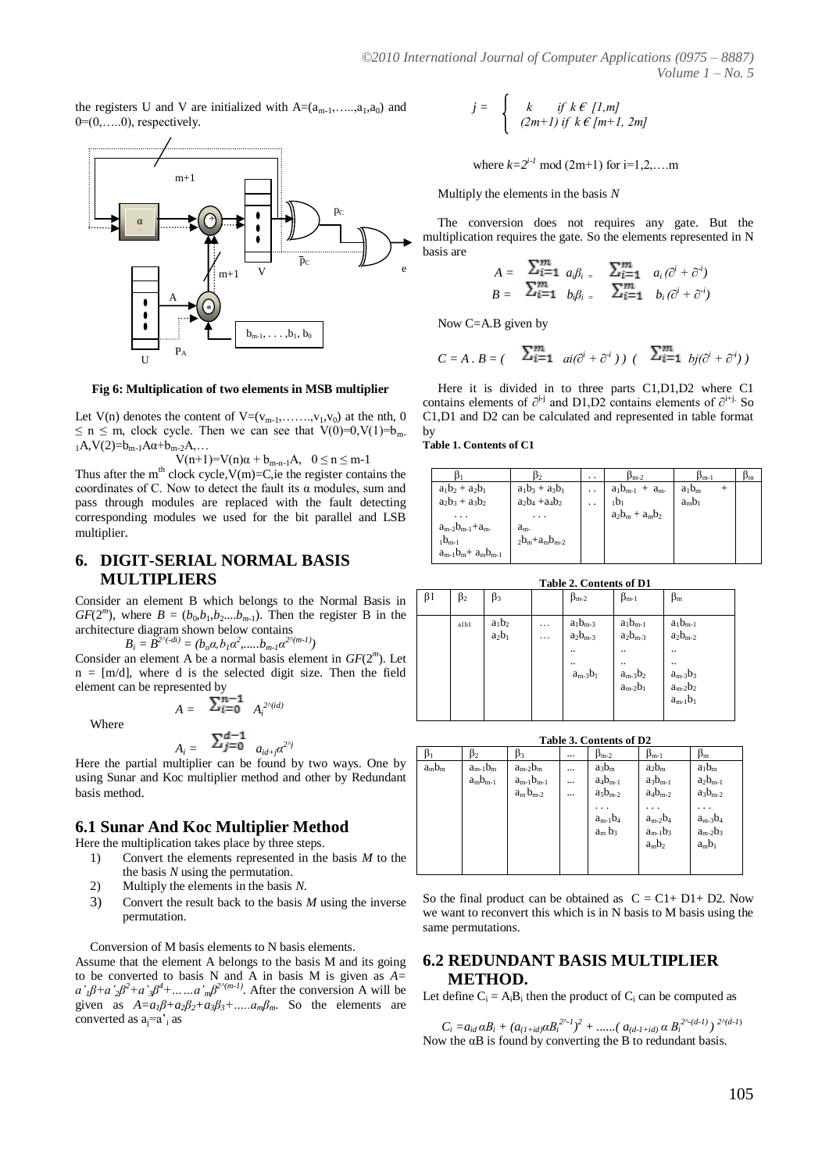the registers U and V are initialized with  $A=(a_{m-1},\ldots,a_1,a_0)$  and  $0=(0,\ldots.0)$ , respectively.



**Fig 6: Multiplication of two elements in MSB multiplier**

Let  $V(n)$  denotes the content of  $V=(v_{m-1},\ldots,v_1,v_0)$  at the nth, 0  $\leq$  n  $\leq$  m, clock cycle. Then we can see that  $V(0)=0$ ,  $V(1)=b_{\text{m}}$ .  $_1A, V(2)=b_{m-1}A\alpha+b_{m-2}A, \ldots$ 

 $V(n+1)=V(n)\alpha + b_{m-n-1}A, \quad 0 \le n \le m-1$ Thus after the m<sup>th</sup> clock cycle,  $V(m)=C$ , ie the register contains the coordinates of C. Now to detect the fault its  $\alpha$  modules, sum and pass through modules are replaced with the fault detecting corresponding modules we used for the bit parallel and LSB multiplier.

## **6. DIGIT-SERIAL NORMAL BASIS MULTIPLIERS**

Consider an element B which belongs to the Normal Basis in  $GF(2<sup>m</sup>)$ , where  $B = (b_0, b_1, b_2,...b_{m-1})$ . Then the register B in the architecture diagram shown below contains

 $B_i = \overline{B}^{2\wedge (-di)} = (b_o \alpha, b_1 \alpha^2, \dots, b_{m-l} \alpha^{2\wedge (m-l)})$ 

Consider an element A be a normal basis element in *GF*(2*<sup>m</sup>* ). Let  $n = [m/d]$ , where d is the selected digit size. Then the field element can be represented by  $-1$ 

Where

$$
A_i = \sum_{j=0}^{d-1} a_{id+j} \alpha^{2^{r_j}}
$$

 $A = \frac{2i}{i} = 0 \quad A_i^{2 \wedge (id)}$ 

Here the partial multiplier can be found by two ways. One by using Sunar and Koc multiplier method and other by Redundant basis method.

### **6.1 Sunar And Koc Multiplier Method**

Here the multiplication takes place by three steps.

- 1) Convert the elements represented in the basis *M* to the the basis *N* using the permutation.
- 2) Multiply the elements in the basis *N*.
- 3) Convert the result back to the basis *M* using the inverse permutation.

Conversion of M basis elements to N basis elements.

Assume that the element A belongs to the basis M and its going to be converted to basis N and A in basis M is given as *A=*   $a'$ <sub>*i*</sub> $\beta$ <sup>*+a*</sup> $\cdot$ <sub>2</sub> $\beta$ <sup>2</sup><sup>*+</sup>a* $\cdot$ *m*<sup>2</sup> $\cdot$ <sup>*m*</sup> $\cdot$ *m*<sup>2</sup> $\cdot$ <sup>*m*</sup> $\cdot$ <sup>2</sup> $\cdot$ *m*<sup>2</sup> $\cdot$ *n*<sup>2</sup> $\cdot$ *m*<sup>2</sup> $\cdot$ *n*<sup>2</sup> $\cdot$ *m*<sup>2</sup> $\cdot$ *n*<sup>2</sup> $\cdot$ *m*<sup>2</sup> $\cdot$ *n*<sup>2</sup> $\cdot$ *n*<sup>2</sup> $\cdot$ *n*<sup>2</sup> $\cdot$ *n*<sup>2</sup> $\cdot$ *n*<sup>2</sup> $\cdot$ *n*<sup>2</sup> $\cdot$ *</sup>* given as  $A=a_1\beta+a_2\beta_2+a_3\beta_3+\dots+a_m\beta_m$ . So the elements are converted as  $a_i=a_i$  as

$$
j = \begin{cases} k & \text{if } k \in [1,m] \\ (2m+1) & \text{if } k \in [m+1, 2m] \end{cases}
$$

where  $k=2^{i-1} \mod (2m+1)$  for  $i=1,2,...,m$ 

Multiply the elements in the basis *N*

The conversion does not requires any gate. But the multiplication requires the gate. So the elements represented in N basis are

$$
A = \sum_{i=1}^{m} a_i \beta_i = \sum_{i=1}^{m} a_i (\partial^i + \partial^i)
$$
  

$$
B = \sum_{i=1}^{m} b_i \beta_i = \sum_{i=1}^{m} b_i (\partial^i + \partial^i)
$$

Now C=A.B given by

$$
C = A \cdot B = \begin{pmatrix} \sum_{i=1}^{m} a_i(\partial^i + \partial^i) & \sum_{i=1}^{m} b_i(\partial^i + \partial^i) \end{pmatrix}
$$

Here it is divided in to three parts C1,D1,D2 where C1 contains elements of  $\partial^{i-j}$  and D1,D2 contains elements of  $\partial^{i+j}$ . So C1,D1 and D2 can be calculated and represented in table format by

**Table 1. Contents of C1**

|                           |                      | $\cdot$ . | $\beta_{m-2}$          | $\beta_{m-1}$ |  |
|---------------------------|----------------------|-----------|------------------------|---------------|--|
| $a_1b_2 + a_2b_1$         | $a_1b_3 + a_3b_1$    |           | $a_1b_{m-1} + a_{m-1}$ | $a_1b_m$      |  |
| $a_2b_3 + a_3b_2$         | $a_2b_4 + a_4b_2$    |           | $_1b_1$                | $a_m b_1$     |  |
|                           | $\cdots$             |           | $a_2b_m + a_mb_2$      |               |  |
| $a_{m-2}b_{m-1}+a_{m-1}$  | $a_{m}$              |           |                        |               |  |
| $1bm-1$                   | $2b_m + a_m b_{m-2}$ |           |                        |               |  |
| $a_{m-1}b_{m}+a_mb_{m-1}$ |                      |           |                        |               |  |

**Table 2. Contents of D1**

| $\beta$ 1 | $\beta_2$ | $\beta_3$            |               | $\beta_{m-2}$                                                                   | $\beta_{m-1}$                                                                                                         | $\beta_{\rm m}$                                                                                                               |
|-----------|-----------|----------------------|---------------|---------------------------------------------------------------------------------|-----------------------------------------------------------------------------------------------------------------------|-------------------------------------------------------------------------------------------------------------------------------|
|           | albl      | $a_1b_2$<br>$a_2b_1$ | .<br>$\cdots$ | $a_1b_{m-3}$<br>$a_2b_{m\text{-}3}$<br>$\ddot{\phantom{a}}$<br><br>$a_{m-3}b_1$ | $a_1b_{m-1}$<br>$a_2b_{m-3}$<br>$\ddotsc$<br><br>$\begin{array}{l} a_{m\text{-}3}b_2\\ a_{m\text{-}2}b_1 \end{array}$ | $a_1b_{m-1}$<br>$a_2b_{m-2}$<br><br><br>$\begin{array}{l} a_{m\text{-}3}b_3 \\ a_{m\text{-}2}b_2 \end{array}$<br>$a_{m-1}b_1$ |

**Table 3. Contents of D2**

|         | D2.           | Þ3               | $\cdots$ | $\beta_{m-2}$ | $\beta_{m-1}$ | $\beta_{\rm m}$ |  |
|---------|---------------|------------------|----------|---------------|---------------|-----------------|--|
| $amb_m$ | $a_{m-1}b_m$  | $a_{m-2}b_m$     | $\cdots$ | $a_3b_m$      | $a_2b_m$      | $a_1b_m$        |  |
|         | $a_m b_{m-1}$ | $a_{m-1}b_{m-1}$ |          | $a_4b_{m-1}$  | $a_3b_{m-1}$  | $a_2b_{m-1}$    |  |
|         |               | $a_m b_{m-2}$    |          | $a_5b_{m-2}$  | $a_4b_{m-2}$  | $a_3b_{m-2}$    |  |
|         |               |                  |          |               | .             |                 |  |
|         |               |                  |          | $a_{m-1}b_4$  | $a_{m-2}b_4$  | $a_{m-3}b_4$    |  |
|         |               |                  |          | $a_m b_3$     | $a_{m-1}b_3$  | $a_{m-2}b_3$    |  |
|         |               |                  |          |               | $a_m b_2$     | $a_m b_1$       |  |
|         |               |                  |          |               |               |                 |  |
|         |               |                  |          |               |               |                 |  |

So the final product can be obtained as  $C = C1 + D1 + D2$ . Now we want to reconvert this which is in N basis to M basis using the same permutations.

## **6.2 REDUNDANT BASIS MULTIPLIER METHOD.**

Let define  $C_i = A_i B_i$  then the product of  $C_i$  can be computed as

 $C_i = a_{id} \alpha B_i + (a_{(1+id)} \alpha B_i^{2^{n-1}})^2 + \dots$  (a<sub>(d-1+id)</sub>  $\alpha B_i^{2^{n-(d-1)}}$ )  $2^{n(d-1)}$ Now the  $\alpha$ B is found by converting the B to redundant basis.